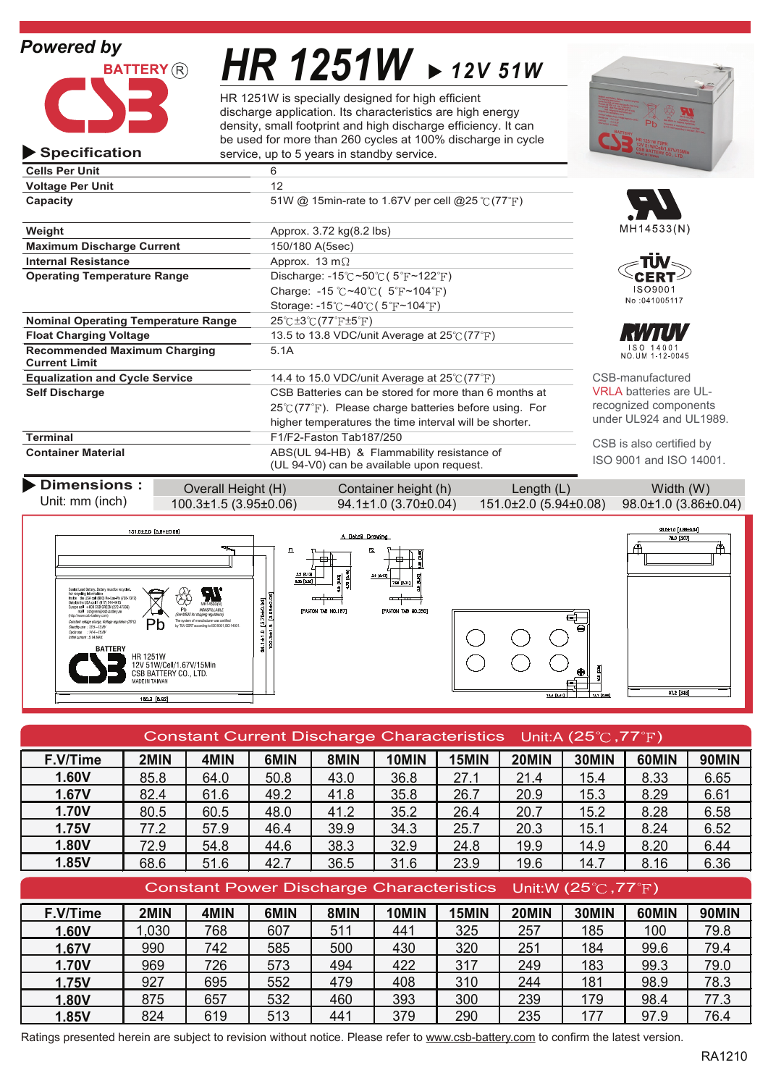

**Specification**

# *HR 1251W 12V 51W*

HR 1251W is specially designed for high efficient discharge application. Its characteristics are high energy density, small footprint and high discharge efficiency. It can be used for more than 260 cycles at 100% discharge in cycle service, up to 5 years in standby service.

| <b>Cells Per Unit</b>                                       | 6                                                                                       |  |  |  |
|-------------------------------------------------------------|-----------------------------------------------------------------------------------------|--|--|--|
| <b>Voltage Per Unit</b>                                     | 12                                                                                      |  |  |  |
| Capacity                                                    | 51W @ 15min-rate to 1.67V per cell @25 °C (77°F)                                        |  |  |  |
| Weight                                                      | Approx. 3.72 kg(8.2 lbs)                                                                |  |  |  |
| <b>Maximum Discharge Current</b>                            | 150/180 A(5sec)                                                                         |  |  |  |
| <b>Internal Resistance</b>                                  | Approx. 13 m $\Omega$                                                                   |  |  |  |
| <b>Operating Temperature Range</b>                          | Discharge: $-15^{\circ}$ C ~50 $\circ$ C (5 $\circ$ F ~122 $\circ$ F)                   |  |  |  |
|                                                             | Charge: -15 $\degree$ C ~40 $\degree$ C (5 $\degree$ F ~104 $\degree$ F)                |  |  |  |
|                                                             | Storage: $-15^{\circ}$ C ~40 $\circ$ C (5 $\circ$ F ~104 $\circ$ F)                     |  |  |  |
| <b>Nominal Operating Temperature Range</b>                  | $25^{\circ}$ C $\pm 3^{\circ}$ C $(77^{\circ}$ F $\pm 5^{\circ}$ F)                     |  |  |  |
| <b>Float Charging Voltage</b>                               | 13.5 to 13.8 VDC/unit Average at $25^{\circ}$ (77 $^{\circ}$ F)                         |  |  |  |
| <b>Recommended Maximum Charging</b><br><b>Current Limit</b> | 5.1A                                                                                    |  |  |  |
| <b>Equalization and Cycle Service</b>                       | 14.4 to 15.0 VDC/unit Average at $25^{\circ}$ (77 $^{\circ}$ F)                         |  |  |  |
| <b>Self Discharge</b>                                       | CSB Batteries can be stored for more than 6 months at                                   |  |  |  |
|                                                             | $25^{\circ}$ (77 $^{\circ}$ F). Please charge batteries before using. For               |  |  |  |
|                                                             | higher temperatures the time interval will be shorter.                                  |  |  |  |
| <b>Terminal</b>                                             | F1/F2-Faston Tab187/250                                                                 |  |  |  |
| <b>Container Material</b>                                   | ABS(UL 94-HB) & Flammability resistance of<br>(UL 94-V0) can be available upon request. |  |  |  |









CSB-manufactured RI A batteries are ULecognized components under UL924 and UL1989.

CSB is also certified by SO 9001 and ISO 14001.

| <b>Dimensions:</b><br>Unit: mm (inch) | Overall Height (H)             | Container height (h)             | Length $(L)$                                                    | Width (W) |
|---------------------------------------|--------------------------------|----------------------------------|-----------------------------------------------------------------|-----------|
|                                       | $100.3 \pm 1.5(3.95 \pm 0.06)$ | $94.1 \pm 1.0$ (3.70 $\pm$ 0.04) | $151.0\pm2.0$ (5.94 $\pm0.08$ ) 98.0 $\pm1.0$ (3.86 $\pm0.04$ ) |           |



| Constant Current Discharge Characteristics Unit:A (25 $\degree$ C, 77 $\degree$ F) |      |      |      |      |       |       |       |       |       |              |
|------------------------------------------------------------------------------------|------|------|------|------|-------|-------|-------|-------|-------|--------------|
| F.V/Time                                                                           | 2MIN | 4MIN | 6MIN | 8MIN | 10MIN | 15MIN | 20MIN | 30MIN | 60MIN | <b>90MIN</b> |
| 1.60V                                                                              | 85.8 | 64.0 | 50.8 | 43.0 | 36.8  | 27.1  | 21.4  | 15.4  | 8.33  | 6.65         |
| 1.67V                                                                              | 82.4 | 61.6 | 49.2 | 41.8 | 35.8  | 26.7  | 20.9  | 15.3  | 8.29  | 6.61         |
| <b>1.70V</b>                                                                       | 80.5 | 60.5 | 48.0 | 41.2 | 35.2  | 26.4  | 20.7  | 15.2  | 8.28  | 6.58         |
| 1.75V                                                                              | 77.2 | 57.9 | 46.4 | 39.9 | 34.3  | 25.7  | 20.3  | 15.1  | 8.24  | 6.52         |
| 1.80V                                                                              | 72.9 | 54.8 | 44.6 | 38.3 | 32.9  | 24.8  | 19.9  | 14.9  | 8.20  | 6.44         |
| 1.85V                                                                              | 68.6 | 51.6 | 42.7 | 36.5 | 31.6  | 23.9  | 19.6  | 14.7  | 8.16  | 6.36         |
| Constant Power Discharge Characteristics Unit:W (25 $\degree$ C, 77 $\degree$ F)   |      |      |      |      |       |       |       |       |       |              |
| F.V/Time                                                                           | 2MIN | 4MIN | 6MIN | 8MIN | 10MIN | 15MIN | 20MIN | 30MIN | 60MIN | <b>90MIN</b> |

| F.V/Time     | 2MIN | 4MIN | 6MIN | 8MIN | 10MIN | 15MIN | 20MIN | 30MIN | 60MIN | <b>90MIN</b> |
|--------------|------|------|------|------|-------|-------|-------|-------|-------|--------------|
| 1.60V        | ,030 | 768  | 607  | 511  | 441   | 325   | 257   | 185   | 100   | 79.8         |
| 1.67V        | 990  | 742  | 585  | 500  | 430   | 320   | 251   | 184   | 99.6  | 79.4         |
| <b>1.70V</b> | 969  | 726  | 573  | 494  | 422   | 317   | 249   | 183   | 99.3  | 79.0         |
| 1.75V        | 927  | 695  | 552  | 479  | 408   | 310   | 244   | 181   | 98.9  | 78.3         |
| 1.80V        | 875  | 657  | 532  | 460  | 393   | 300   | 239   | 179   | 98.4  | 77.3         |
| 1.85V        | 824  | 619  | 513  | 441  | 379   | 290   | 235   | 177   | 97.9  | 76.4         |

Ratings presented herein are subject to revision without notice. Please refer to www.csb-battery.com to confirm the latest version.